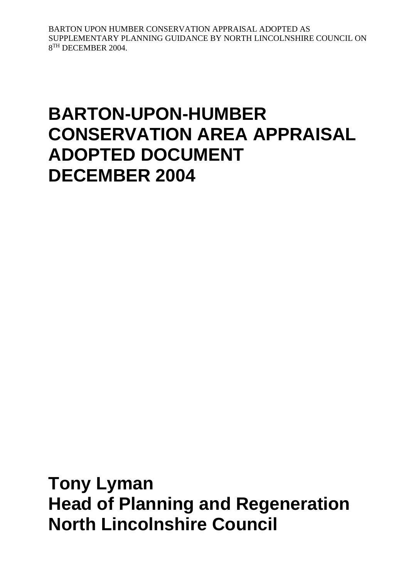# **BARTON-UPON-HUMBER CONSERVATION AREA APPRAISAL ADOPTED DOCUMENT DECEMBER 2004**

**Tony Lyman Head of Planning and Regeneration North Lincolnshire Council**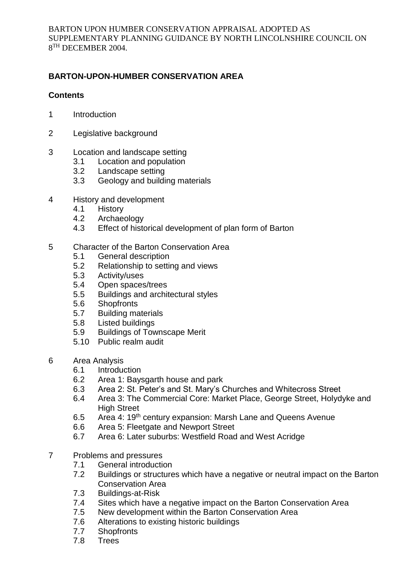# **BARTON-UPON-HUMBER CONSERVATION AREA**

## **Contents**

- 1 Introduction
- 2 Legislative background
- 3 Location and landscape setting
	- 3.1 Location and population
	- 3.2 Landscape setting
	- 3.3 Geology and building materials
- 4 History and development
	- 4.1 History
	- 4.2 Archaeology
	- 4.3 Effect of historical development of plan form of Barton
- 5 Character of the Barton Conservation Area
	- 5.1 General description
	- 5.2 Relationship to setting and views
	- 5.3 Activity/uses
	- 5.4 Open spaces/trees
	- 5.5 Buildings and architectural styles
	- 5.6 Shopfronts
	- 5.7 Building materials
	- 5.8 Listed buildings
	- 5.9 Buildings of Townscape Merit
	- 5.10 Public realm audit
- 6 Area Analysis
	- 6.1 Introduction
	- 6.2 Area 1: Baysgarth house and park
	- 6.3 Area 2: St. Peter's and St. Mary's Churches and Whitecross Street
	- 6.4 Area 3: The Commercial Core: Market Place, George Street, Holydyke and **High Street**
	- 6.5 Area 4: 19th century expansion: Marsh Lane and Queens Avenue
	- 6.6 Area 5: Fleetgate and Newport Street
	- 6.7 Area 6: Later suburbs: Westfield Road and West Acridge
- 7 Problems and pressures
	- 7.1 General introduction
	- 7.2 Buildings or structures which have a negative or neutral impact on the Barton Conservation Area
	- 7.3 Buildings-at-Risk
	- 7.4 Sites which have a negative impact on the Barton Conservation Area
	- 7.5 New development within the Barton Conservation Area
	- 7.6 Alterations to existing historic buildings
	- 7.7 Shopfronts
	- 7.8 Trees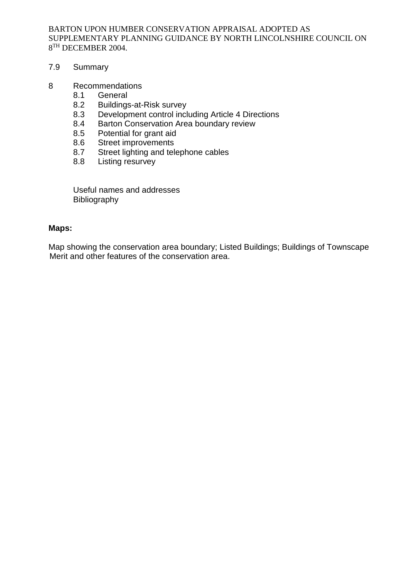#### 7.9 Summary

#### 8 Recommendations

- 8.1 General
- 8.2 Buildings-at-Risk survey
- 8.3 Development control including Article 4 Directions
- 8.4 Barton Conservation Area boundary review<br>8.5 Potential for grant aid
- Potential for grant aid
- 8.6 Street improvements
- 8.7 Street lighting and telephone cables
- 8.8 Listing resurvey

Useful names and addresses Bibliography

#### **Maps:**

Map showing the conservation area boundary; Listed Buildings; Buildings of Townscape Merit and other features of the conservation area.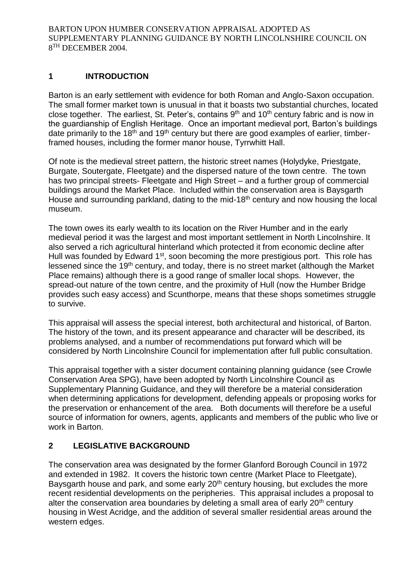## **1 INTRODUCTION**

Barton is an early settlement with evidence for both Roman and Anglo-Saxon occupation. The small former market town is unusual in that it boasts two substantial churches, located close together. The earliest, St. Peter's, contains 9<sup>th</sup> and 10<sup>th</sup> century fabric and is now in the guardianship of English Heritage. Once an important medieval port, Barton's buildings date primarily to the  $18<sup>th</sup>$  and  $19<sup>th</sup>$  century but there are good examples of earlier, timberframed houses, including the former manor house, Tyrrwhitt Hall.

Of note is the medieval street pattern, the historic street names (Holydyke, Priestgate, Burgate, Soutergate, Fleetgate) and the dispersed nature of the town centre. The town has two principal streets- Fleetgate and High Street – and a further group of commercial buildings around the Market Place. Included within the conservation area is Baysgarth House and surrounding parkland, dating to the mid-18<sup>th</sup> century and now housing the local museum.

The town owes its early wealth to its location on the River Humber and in the early medieval period it was the largest and most important settlement in North Lincolnshire. It also served a rich agricultural hinterland which protected it from economic decline after Hull was founded by Edward 1<sup>st</sup>, soon becoming the more prestigious port. This role has lessened since the 19<sup>th</sup> century, and today, there is no street market (although the Market Place remains) although there is a good range of smaller local shops. However, the spread-out nature of the town centre, and the proximity of Hull (now the Humber Bridge provides such easy access) and Scunthorpe, means that these shops sometimes struggle to survive.

This appraisal will assess the special interest, both architectural and historical, of Barton. The history of the town, and its present appearance and character will be described, its problems analysed, and a number of recommendations put forward which will be considered by North Lincolnshire Council for implementation after full public consultation.

This appraisal together with a sister document containing planning guidance (see Crowle Conservation Area SPG), have been adopted by North Lincolnshire Council as Supplementary Planning Guidance, and they will therefore be a material consideration when determining applications for development, defending appeals or proposing works for the preservation or enhancement of the area. Both documents will therefore be a useful source of information for owners, agents, applicants and members of the public who live or work in Barton.

## **2 LEGISLATIVE BACKGROUND**

The conservation area was designated by the former Glanford Borough Council in 1972 and extended in 1982. It covers the historic town centre (Market Place to Fleetgate), Baysgarth house and park, and some early  $20<sup>th</sup>$  century housing, but excludes the more recent residential developments on the peripheries. This appraisal includes a proposal to alter the conservation area boundaries by deleting a small area of early  $20<sup>th</sup>$  century housing in West Acridge, and the addition of several smaller residential areas around the western edges.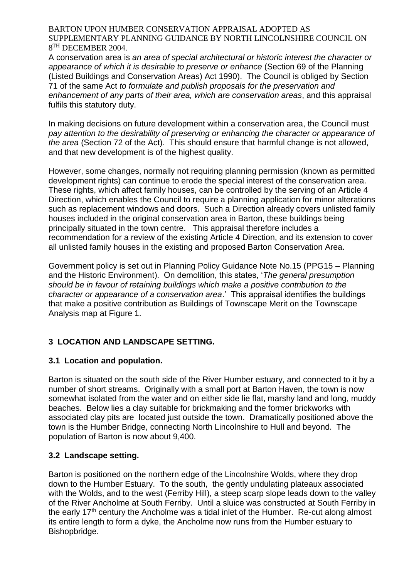A conservation area is *an area of special architectural or historic interest the character or appearance of which it is desirable to preserve or enhance* (Section 69 of the Planning (Listed Buildings and Conservation Areas) Act 1990). The Council is obliged by Section 71 of the same Act *to formulate and publish proposals for the preservation and enhancement of any parts of their area, which are conservation areas*, and this appraisal fulfils this statutory duty.

In making decisions on future development within a conservation area, the Council must *pay attention to the desirability of preserving or enhancing the character or appearance of the area* (Section 72 of the Act). This should ensure that harmful change is not allowed, and that new development is of the highest quality.

However, some changes, normally not requiring planning permission (known as permitted development rights) can continue to erode the special interest of the conservation area. These rights, which affect family houses, can be controlled by the serving of an Article 4 Direction, which enables the Council to require a planning application for minor alterations such as replacement windows and doors. Such a Direction already covers unlisted family houses included in the original conservation area in Barton, these buildings being principally situated in the town centre. This appraisal therefore includes a recommendation for a review of the existing Article 4 Direction, and its extension to cover all unlisted family houses in the existing and proposed Barton Conservation Area.

Government policy is set out in Planning Policy Guidance Note No.15 (PPG15 – Planning and the Historic Environment). On demolition, this states, '*The general presumption should be in favour of retaining buildings which make a positive contribution to the character or appearance of a conservation area*.' This appraisal identifies the buildings that make a positive contribution as Buildings of Townscape Merit on the Townscape Analysis map at Figure 1.

# **3 LOCATION AND LANDSCAPE SETTING.**

## **3.1 Location and population.**

Barton is situated on the south side of the River Humber estuary, and connected to it by a number of short streams. Originally with a small port at Barton Haven, the town is now somewhat isolated from the water and on either side lie flat, marshy land and long, muddy beaches. Below lies a clay suitable for brickmaking and the former brickworks with associated clay pits are located just outside the town. Dramatically positioned above the town is the Humber Bridge, connecting North Lincolnshire to Hull and beyond. The population of Barton is now about 9,400.

## **3.2 Landscape setting.**

Barton is positioned on the northern edge of the Lincolnshire Wolds, where they drop down to the Humber Estuary. To the south, the gently undulating plateaux associated with the Wolds, and to the west (Ferriby Hill), a steep scarp slope leads down to the valley of the River Ancholme at South Ferriby. Until a sluice was constructed at South Ferriby in the early 17<sup>th</sup> century the Ancholme was a tidal inlet of the Humber. Re-cut along almost its entire length to form a dyke, the Ancholme now runs from the Humber estuary to Bishopbridge.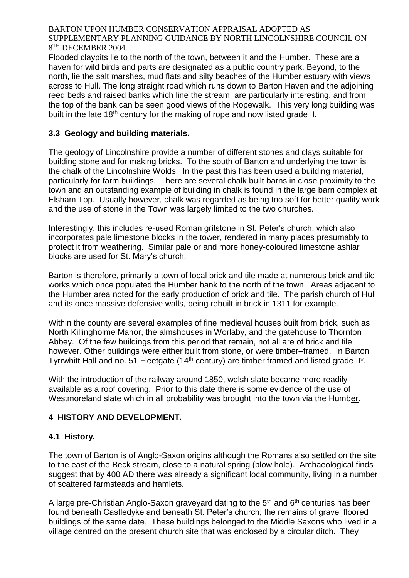Flooded claypits lie to the north of the town, between it and the Humber. These are a haven for wild birds and parts are designated as a public country park. Beyond, to the north, lie the salt marshes, mud flats and silty beaches of the Humber estuary with views across to Hull. The long straight road which runs down to Barton Haven and the adjoining reed beds and raised banks which line the stream, are particularly interesting, and from the top of the bank can be seen good views of the Ropewalk. This very long building was built in the late 18<sup>th</sup> century for the making of rope and now listed grade II.

# **3.3 Geology and building materials.**

The geology of Lincolnshire provide a number of different stones and clays suitable for building stone and for making bricks. To the south of Barton and underlying the town is the chalk of the Lincolnshire Wolds. In the past this has been used a building material, particularly for farm buildings. There are several chalk built barns in close proximity to the town and an outstanding example of building in chalk is found in the large barn complex at Elsham Top. Usually however, chalk was regarded as being too soft for better quality work and the use of stone in the Town was largely limited to the two churches.

Interestingly, this includes re-used Roman gritstone in St. Peter's church, which also incorporates pale limestone blocks in the tower, rendered in many places presumably to protect it from weathering. Similar pale or and more honey-coloured limestone ashlar blocks are used for St. Mary's church.

Barton is therefore, primarily a town of local brick and tile made at numerous brick and tile works which once populated the Humber bank to the north of the town. Areas adjacent to the Humber area noted for the early production of brick and tile. The parish church of Hull and its once massive defensive walls, being rebuilt in brick in 1311 for example.

Within the county are several examples of fine medieval houses built from brick, such as North Killingholme Manor, the almshouses in Worlaby, and the gatehouse to Thornton Abbey. Of the few buildings from this period that remain, not all are of brick and tile however. Other buildings were either built from stone, or were timber–framed. In Barton Tyrrwhitt Hall and no. 51 Fleetgate (14th century) are timber framed and listed grade II\*.

With the introduction of the railway around 1850, welsh slate became more readily available as a roof covering. Prior to this date there is some evidence of the use of Westmoreland slate which in all probability was brought into the town via the Humber.

# **4 HISTORY AND DEVELOPMENT.**

# **4.1 History.**

The town of Barton is of Anglo-Saxon origins although the Romans also settled on the site to the east of the Beck stream, close to a natural spring (blow hole). Archaeological finds suggest that by 400 AD there was already a significant local community, living in a number of scattered farmsteads and hamlets.

A large pre-Christian Anglo-Saxon gravevard dating to the 5<sup>th</sup> and 6<sup>th</sup> centuries has been found beneath Castledyke and beneath St. Peter's church; the remains of gravel floored buildings of the same date. These buildings belonged to the Middle Saxons who lived in a village centred on the present church site that was enclosed by a circular ditch. They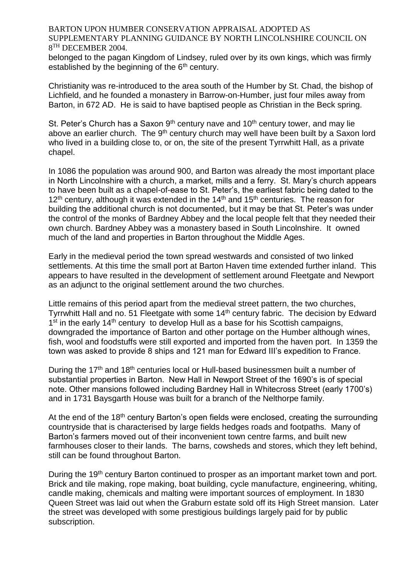belonged to the pagan Kingdom of Lindsey, ruled over by its own kings, which was firmly established by the beginning of the 6<sup>th</sup> century.

Christianity was re-introduced to the area south of the Humber by St. Chad, the bishop of Lichfield, and he founded a monastery in Barrow-on-Humber, just four miles away from Barton, in 672 AD. He is said to have baptised people as Christian in the Beck spring.

St. Peter's Church has a Saxon  $9<sup>th</sup>$  century nave and  $10<sup>th</sup>$  century tower, and may lie above an earlier church. The 9<sup>th</sup> century church may well have been built by a Saxon lord who lived in a building close to, or on, the site of the present Tyrrwhitt Hall, as a private chapel.

In 1086 the population was around 900, and Barton was already the most important place in North Lincolnshire with a church, a market, mills and a ferry. St. Mary's church appears to have been built as a chapel-of-ease to St. Peter's, the earliest fabric being dated to the  $12<sup>th</sup>$  century, although it was extended in the  $14<sup>th</sup>$  and  $15<sup>th</sup>$  centuries. The reason for building the additional church is not documented, but it may be that St. Peter's was under the control of the monks of Bardney Abbey and the local people felt that they needed their own church. Bardney Abbey was a monastery based in South Lincolnshire. It owned much of the land and properties in Barton throughout the Middle Ages.

Early in the medieval period the town spread westwards and consisted of two linked settlements. At this time the small port at Barton Haven time extended further inland. This appears to have resulted in the development of settlement around Fleetgate and Newport as an adjunct to the original settlement around the two churches.

Little remains of this period apart from the medieval street pattern, the two churches, Tyrrwhitt Hall and no. 51 Fleetgate with some 14th century fabric. The decision by Edward 1<sup>st</sup> in the early 14<sup>th</sup> century to develop Hull as a base for his Scottish campaigns, downgraded the importance of Barton and other portage on the Humber although wines, fish, wool and foodstuffs were still exported and imported from the haven port. In 1359 the town was asked to provide 8 ships and 121 man for Edward III's expedition to France.

During the 17<sup>th</sup> and 18<sup>th</sup> centuries local or Hull-based businessmen built a number of substantial properties in Barton. New Hall in Newport Street of the 1690's is of special note. Other mansions followed including Bardney Hall in Whitecross Street (early 1700's) and in 1731 Baysgarth House was built for a branch of the Nelthorpe family.

At the end of the 18<sup>th</sup> century Barton's open fields were enclosed, creating the surrounding countryside that is characterised by large fields hedges roads and footpaths. Many of Barton's farmers moved out of their inconvenient town centre farms, and built new farmhouses closer to their lands. The barns, cowsheds and stores, which they left behind, still can be found throughout Barton.

During the 19<sup>th</sup> century Barton continued to prosper as an important market town and port. Brick and tile making, rope making, boat building, cycle manufacture, engineering, whiting, candle making, chemicals and malting were important sources of employment. In 1830 Queen Street was laid out when the Graburn estate sold off its High Street mansion. Later the street was developed with some prestigious buildings largely paid for by public subscription.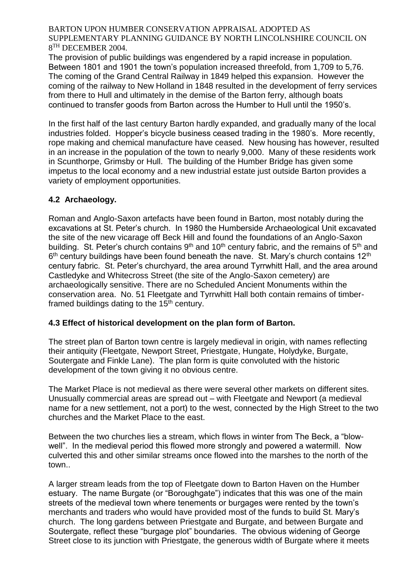The provision of public buildings was engendered by a rapid increase in population. Between 1801 and 1901 the town's population increased threefold, from 1,709 to 5,76. The coming of the Grand Central Railway in 1849 helped this expansion. However the coming of the railway to New Holland in 1848 resulted in the development of ferry services from there to Hull and ultimately in the demise of the Barton ferry, although boats continued to transfer goods from Barton across the Humber to Hull until the 1950's.

In the first half of the last century Barton hardly expanded, and gradually many of the local industries folded. Hopper's bicycle business ceased trading in the 1980's. More recently, rope making and chemical manufacture have ceased. New housing has however, resulted in an increase in the population of the town to nearly 9,000. Many of these residents work in Scunthorpe, Grimsby or Hull. The building of the Humber Bridge has given some impetus to the local economy and a new industrial estate just outside Barton provides a variety of employment opportunities.

# **4.2 Archaeology.**

Roman and Anglo-Saxon artefacts have been found in Barton, most notably during the excavations at St. Peter's church. In 1980 the Humberside Archaeological Unit excavated the site of the new vicarage off Beck Hill and found the foundations of an Anglo-Saxon building. St. Peter's church contains  $9<sup>th</sup>$  and 10<sup>th</sup> century fabric, and the remains of  $5<sup>th</sup>$  and  $6^{\text{th}}$  century buildings have been found beneath the nave. St. Mary's church contains 12<sup>th</sup> century fabric. St. Peter's churchyard, the area around Tyrrwhitt Hall, and the area around Castledyke and Whitecross Street (the site of the Anglo-Saxon cemetery) are archaeologically sensitive. There are no Scheduled Ancient Monuments within the conservation area. No. 51 Fleetgate and Tyrrwhitt Hall both contain remains of timberframed buildings dating to the  $15<sup>th</sup>$  century.

## **4.3 Effect of historical development on the plan form of Barton.**

The street plan of Barton town centre is largely medieval in origin, with names reflecting their antiquity (Fleetgate, Newport Street, Priestgate, Hungate, Holydyke, Burgate, Soutergate and Finkle Lane). The plan form is quite convoluted with the historic development of the town giving it no obvious centre.

The Market Place is not medieval as there were several other markets on different sites. Unusually commercial areas are spread out – with Fleetgate and Newport (a medieval name for a new settlement, not a port) to the west, connected by the High Street to the two churches and the Market Place to the east.

Between the two churches lies a stream, which flows in winter from The Beck, a "blowwell". In the medieval period this flowed more strongly and powered a watermill. Now culverted this and other similar streams once flowed into the marshes to the north of the town..

A larger stream leads from the top of Fleetgate down to Barton Haven on the Humber estuary. The name Burgate (or "Boroughgate") indicates that this was one of the main streets of the medieval town where tenements or burgages were rented by the town's merchants and traders who would have provided most of the funds to build St. Mary's church. The long gardens between Priestgate and Burgate, and between Burgate and Soutergate, reflect these "burgage plot" boundaries. The obvious widening of George Street close to its junction with Priestgate, the generous width of Burgate where it meets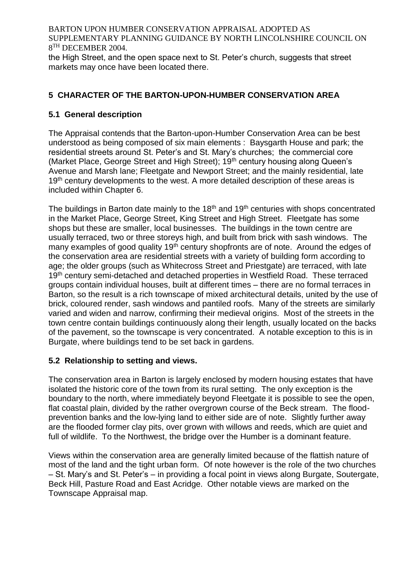the High Street, and the open space next to St. Peter's church, suggests that street markets may once have been located there.

# **5 CHARACTER OF THE BARTON-UPON-HUMBER CONSERVATION AREA**

## **5.1 General description**

The Appraisal contends that the Barton-upon-Humber Conservation Area can be best understood as being composed of six main elements : Baysgarth House and park; the residential streets around St. Peter's and St. Mary's churches; the commercial core (Market Place, George Street and High Street); 19<sup>th</sup> century housing along Queen's Avenue and Marsh lane; Fleetgate and Newport Street; and the mainly residential, late 19<sup>th</sup> century developments to the west. A more detailed description of these areas is included within Chapter 6.

The buildings in Barton date mainly to the 18<sup>th</sup> and 19<sup>th</sup> centuries with shops concentrated in the Market Place, George Street, King Street and High Street. Fleetgate has some shops but these are smaller, local businesses. The buildings in the town centre are usually terraced, two or three storeys high, and built from brick with sash windows. The many examples of good quality 19<sup>th</sup> century shopfronts are of note. Around the edges of the conservation area are residential streets with a variety of building form according to age; the older groups (such as Whitecross Street and Priestgate) are terraced, with late 19<sup>th</sup> century semi-detached and detached properties in Westfield Road. These terraced groups contain individual houses, built at different times – there are no formal terraces in Barton, so the result is a rich townscape of mixed architectural details, united by the use of brick, coloured render, sash windows and pantiled roofs. Many of the streets are similarly varied and widen and narrow, confirming their medieval origins. Most of the streets in the town centre contain buildings continuously along their length, usually located on the backs of the pavement, so the townscape is very concentrated. A notable exception to this is in Burgate, where buildings tend to be set back in gardens.

## **5.2 Relationship to setting and views.**

The conservation area in Barton is largely enclosed by modern housing estates that have isolated the historic core of the town from its rural setting. The only exception is the boundary to the north, where immediately beyond Fleetgate it is possible to see the open, flat coastal plain, divided by the rather overgrown course of the Beck stream. The floodprevention banks and the low-lying land to either side are of note. Slightly further away are the flooded former clay pits, over grown with willows and reeds, which are quiet and full of wildlife. To the Northwest, the bridge over the Humber is a dominant feature.

Views within the conservation area are generally limited because of the flattish nature of most of the land and the tight urban form. Of note however is the role of the two churches – St. Mary's and St. Peter's – in providing a focal point in views along Burgate, Soutergate, Beck Hill, Pasture Road and East Acridge. Other notable views are marked on the Townscape Appraisal map.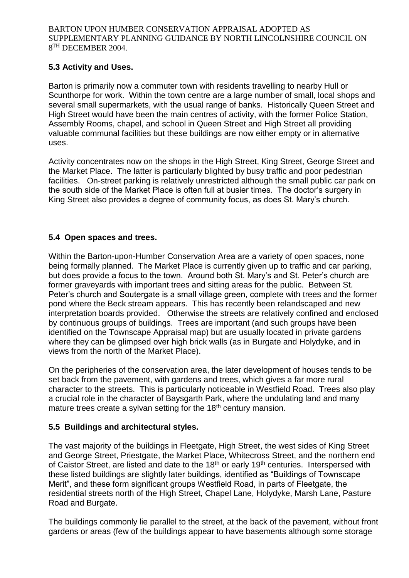## **5.3 Activity and Uses.**

Barton is primarily now a commuter town with residents travelling to nearby Hull or Scunthorpe for work. Within the town centre are a large number of small, local shops and several small supermarkets, with the usual range of banks. Historically Queen Street and High Street would have been the main centres of activity, with the former Police Station, Assembly Rooms, chapel, and school in Queen Street and High Street all providing valuable communal facilities but these buildings are now either empty or in alternative uses.

Activity concentrates now on the shops in the High Street, King Street, George Street and the Market Place. The latter is particularly blighted by busy traffic and poor pedestrian facilities. On-street parking is relatively unrestricted although the small public car park on the south side of the Market Place is often full at busier times. The doctor's surgery in King Street also provides a degree of community focus, as does St. Mary's church.

# **5.4 Open spaces and trees.**

Within the Barton-upon-Humber Conservation Area are a variety of open spaces, none being formally planned. The Market Place is currently given up to traffic and car parking, but does provide a focus to the town. Around both St. Mary's and St. Peter's church are former graveyards with important trees and sitting areas for the public. Between St. Peter's church and Soutergate is a small village green, complete with trees and the former pond where the Beck stream appears. This has recently been relandscaped and new interpretation boards provided. Otherwise the streets are relatively confined and enclosed by continuous groups of buildings. Trees are important (and such groups have been identified on the Townscape Appraisal map) but are usually located in private gardens where they can be glimpsed over high brick walls (as in Burgate and Holydyke, and in views from the north of the Market Place).

On the peripheries of the conservation area, the later development of houses tends to be set back from the pavement, with gardens and trees, which gives a far more rural character to the streets. This is particularly noticeable in Westfield Road. Trees also play a crucial role in the character of Baysgarth Park, where the undulating land and many mature trees create a sylvan setting for the 18<sup>th</sup> century mansion.

## **5.5 Buildings and architectural styles.**

The vast majority of the buildings in Fleetgate, High Street, the west sides of King Street and George Street, Priestgate, the Market Place, Whitecross Street, and the northern end of Caistor Street, are listed and date to the 18<sup>th</sup> or early 19<sup>th</sup> centuries. Interspersed with these listed buildings are slightly later buildings, identified as "Buildings of Townscape Merit", and these form significant groups Westfield Road, in parts of Fleetgate, the residential streets north of the High Street, Chapel Lane, Holydyke, Marsh Lane, Pasture Road and Burgate.

The buildings commonly lie parallel to the street, at the back of the pavement, without front gardens or areas (few of the buildings appear to have basements although some storage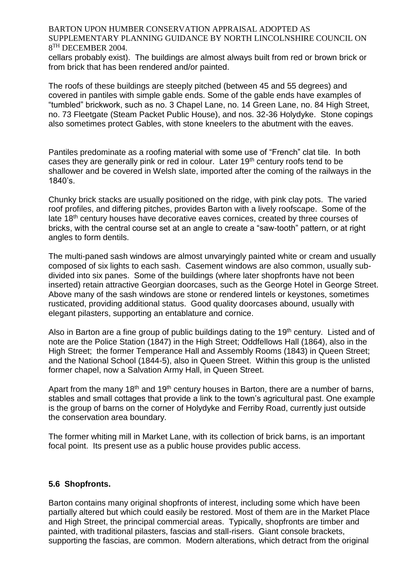cellars probably exist). The buildings are almost always built from red or brown brick or from brick that has been rendered and/or painted.

The roofs of these buildings are steeply pitched (between 45 and 55 degrees) and covered in pantiles with simple gable ends. Some of the gable ends have examples of "tumbled" brickwork, such as no. 3 Chapel Lane, no. 14 Green Lane, no. 84 High Street, no. 73 Fleetgate (Steam Packet Public House), and nos. 32-36 Holydyke. Stone copings also sometimes protect Gables, with stone kneelers to the abutment with the eaves.

Pantiles predominate as a roofing material with some use of "French" clat tile. In both cases they are generally pink or red in colour. Later 19th century roofs tend to be shallower and be covered in Welsh slate, imported after the coming of the railways in the 1840's.

Chunky brick stacks are usually positioned on the ridge, with pink clay pots. The varied roof profiles, and differing pitches, provides Barton with a lively roofscape. Some of the late 18th century houses have decorative eaves cornices, created by three courses of bricks, with the central course set at an angle to create a "saw-tooth" pattern, or at right angles to form dentils.

The multi-paned sash windows are almost unvaryingly painted white or cream and usually composed of six lights to each sash. Casement windows are also common, usually subdivided into six panes. Some of the buildings (where later shopfronts have not been inserted) retain attractive Georgian doorcases, such as the George Hotel in George Street. Above many of the sash windows are stone or rendered lintels or keystones, sometimes rusticated, providing additional status. Good quality doorcases abound, usually with elegant pilasters, supporting an entablature and cornice.

Also in Barton are a fine group of public buildings dating to the 19<sup>th</sup> century. Listed and of note are the Police Station (1847) in the High Street; Oddfellows Hall (1864), also in the High Street; the former Temperance Hall and Assembly Rooms (1843) in Queen Street; and the National School (1844-5), also in Queen Street. Within this group is the unlisted former chapel, now a Salvation Army Hall, in Queen Street.

Apart from the many 18<sup>th</sup> and 19<sup>th</sup> century houses in Barton, there are a number of barns, stables and small cottages that provide a link to the town's agricultural past. One example is the group of barns on the corner of Holydyke and Ferriby Road, currently just outside the conservation area boundary.

The former whiting mill in Market Lane, with its collection of brick barns, is an important focal point. Its present use as a public house provides public access.

#### **5.6 Shopfronts.**

Barton contains many original shopfronts of interest, including some which have been partially altered but which could easily be restored. Most of them are in the Market Place and High Street, the principal commercial areas. Typically, shopfronts are timber and painted, with traditional pilasters, fascias and stall-risers. Giant console brackets, supporting the fascias, are common. Modern alterations, which detract from the original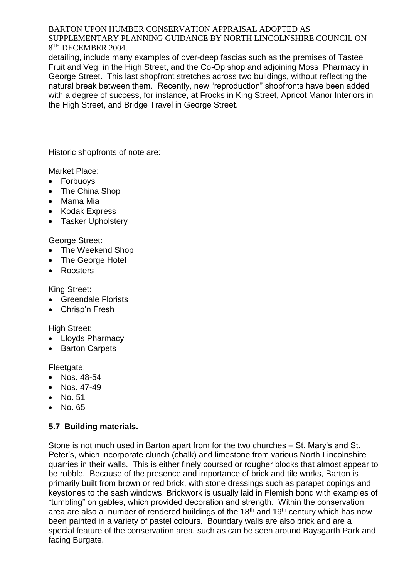detailing, include many examples of over-deep fascias such as the premises of Tastee Fruit and Veg, in the High Street, and the Co-Op shop and adjoining Moss Pharmacy in George Street. This last shopfront stretches across two buildings, without reflecting the natural break between them. Recently, new "reproduction" shopfronts have been added with a degree of success, for instance, at Frocks in King Street, Apricot Manor Interiors in the High Street, and Bridge Travel in George Street.

Historic shopfronts of note are:

Market Place:

- Forbuoys
- The China Shop
- Mama Mia
- Kodak Express
- Tasker Upholstery

George Street:

- The Weekend Shop
- The George Hotel
- Roosters

King Street:

- Greendale Florists
- Chrisp'n Fresh

High Street:

- Lloyds Pharmacy
- Barton Carpets

Fleetgate:

- Nos. 48-54
- Nos. 47-49
- No. 51
- No. 65

## **5.7 Building materials.**

Stone is not much used in Barton apart from for the two churches – St. Mary's and St. Peter's, which incorporate clunch (chalk) and limestone from various North Lincolnshire quarries in their walls. This is either finely coursed or rougher blocks that almost appear to be rubble. Because of the presence and importance of brick and tile works, Barton is primarily built from brown or red brick, with stone dressings such as parapet copings and keystones to the sash windows. Brickwork is usually laid in Flemish bond with examples of "tumbling" on gables, which provided decoration and strength. Within the conservation area are also a number of rendered buildings of the  $18<sup>th</sup>$  and  $19<sup>th</sup>$  century which has now been painted in a variety of pastel colours. Boundary walls are also brick and are a special feature of the conservation area, such as can be seen around Baysgarth Park and facing Burgate.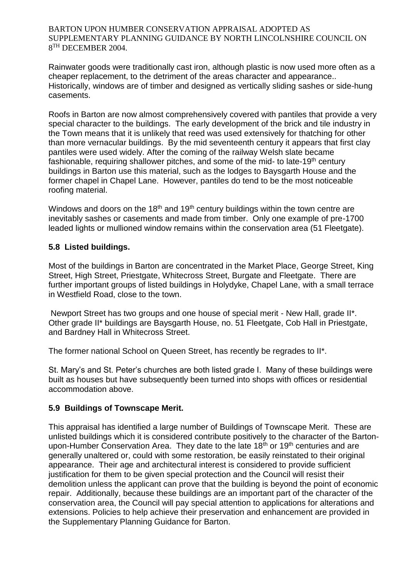Rainwater goods were traditionally cast iron, although plastic is now used more often as a cheaper replacement, to the detriment of the areas character and appearance.. Historically, windows are of timber and designed as vertically sliding sashes or side-hung casements.

Roofs in Barton are now almost comprehensively covered with pantiles that provide a very special character to the buildings. The early development of the brick and tile industry in the Town means that it is unlikely that reed was used extensively for thatching for other than more vernacular buildings. By the mid seventeenth century it appears that first clay pantiles were used widely. After the coming of the railway Welsh slate became fashionable, requiring shallower pitches, and some of the mid- to late-19th century buildings in Barton use this material, such as the lodges to Baysgarth House and the former chapel in Chapel Lane. However, pantiles do tend to be the most noticeable roofing material.

Windows and doors on the 18<sup>th</sup> and 19<sup>th</sup> century buildings within the town centre are inevitably sashes or casements and made from timber. Only one example of pre-1700 leaded lights or mullioned window remains within the conservation area (51 Fleetgate).

## **5.8 Listed buildings.**

Most of the buildings in Barton are concentrated in the Market Place, George Street, King Street, High Street, Priestgate, Whitecross Street, Burgate and Fleetgate. There are further important groups of listed buildings in Holydyke, Chapel Lane, with a small terrace in Westfield Road, close to the town.

Newport Street has two groups and one house of special merit - New Hall, grade II\*. Other grade II\* buildings are Baysgarth House, no. 51 Fleetgate, Cob Hall in Priestgate, and Bardney Hall in Whitecross Street.

The former national School on Queen Street, has recently be regrades to II\*.

St. Mary's and St. Peter's churches are both listed grade I. Many of these buildings were built as houses but have subsequently been turned into shops with offices or residential accommodation above.

## **5.9 Buildings of Townscape Merit.**

This appraisal has identified a large number of Buildings of Townscape Merit. These are unlisted buildings which it is considered contribute positively to the character of the Bartonupon-Humber Conservation Area. They date to the late 18<sup>th</sup> or 19<sup>th</sup> centuries and are generally unaltered or, could with some restoration, be easily reinstated to their original appearance. Their age and architectural interest is considered to provide sufficient justification for them to be given special protection and the Council will resist their demolition unless the applicant can prove that the building is beyond the point of economic repair. Additionally, because these buildings are an important part of the character of the conservation area, the Council will pay special attention to applications for alterations and extensions. Policies to help achieve their preservation and enhancement are provided in the Supplementary Planning Guidance for Barton.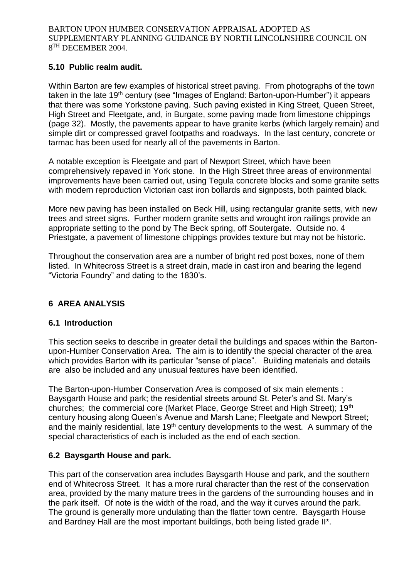## **5.10 Public realm audit.**

Within Barton are few examples of historical street paving. From photographs of the town taken in the late 19<sup>th</sup> century (see "Images of England: Barton-upon-Humber") it appears that there was some Yorkstone paving. Such paving existed in King Street, Queen Street, High Street and Fleetgate, and, in Burgate, some paving made from limestone chippings (page 32). Mostly, the pavements appear to have granite kerbs (which largely remain) and simple dirt or compressed gravel footpaths and roadways. In the last century, concrete or tarmac has been used for nearly all of the pavements in Barton.

A notable exception is Fleetgate and part of Newport Street, which have been comprehensively repaved in York stone. In the High Street three areas of environmental improvements have been carried out, using Tegula concrete blocks and some granite setts with modern reproduction Victorian cast iron bollards and signposts, both painted black.

More new paving has been installed on Beck Hill, using rectangular granite setts, with new trees and street signs. Further modern granite setts and wrought iron railings provide an appropriate setting to the pond by The Beck spring, off Soutergate. Outside no. 4 Priestgate, a pavement of limestone chippings provides texture but may not be historic.

Throughout the conservation area are a number of bright red post boxes, none of them listed. In Whitecross Street is a street drain, made in cast iron and bearing the legend "Victoria Foundry" and dating to the 1830's.

# **6 AREA ANALYSIS**

#### **6.1 Introduction**

This section seeks to describe in greater detail the buildings and spaces within the Bartonupon-Humber Conservation Area. The aim is to identify the special character of the area which provides Barton with its particular "sense of place". Building materials and details are also be included and any unusual features have been identified.

The Barton-upon-Humber Conservation Area is composed of six main elements : Baysgarth House and park; the residential streets around St. Peter's and St. Mary's churches; the commercial core (Market Place, George Street and High Street); 19th century housing along Queen's Avenue and Marsh Lane; Fleetgate and Newport Street; and the mainly residential, late 19th century developments to the west. A summary of the special characteristics of each is included as the end of each section.

## **6.2 Baysgarth House and park.**

This part of the conservation area includes Baysgarth House and park, and the southern end of Whitecross Street. It has a more rural character than the rest of the conservation area, provided by the many mature trees in the gardens of the surrounding houses and in the park itself. Of note is the width of the road, and the way it curves around the park. The ground is generally more undulating than the flatter town centre. Baysgarth House and Bardney Hall are the most important buildings, both being listed grade II\*.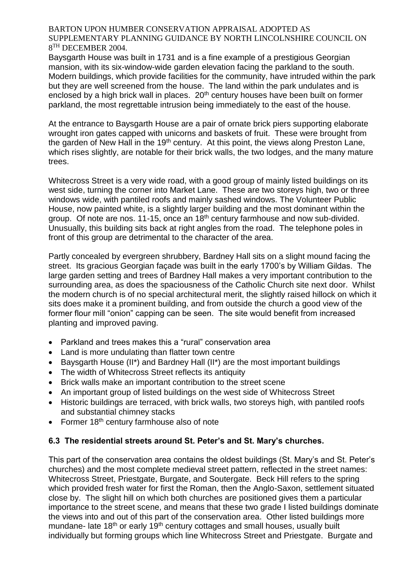Baysgarth House was built in 1731 and is a fine example of a prestigious Georgian mansion, with its six-window-wide garden elevation facing the parkland to the south. Modern buildings, which provide facilities for the community, have intruded within the park but they are well screened from the house. The land within the park undulates and is enclosed by a high brick wall in places. 20<sup>th</sup> century houses have been built on former parkland, the most regrettable intrusion being immediately to the east of the house.

At the entrance to Baysgarth House are a pair of ornate brick piers supporting elaborate wrought iron gates capped with unicorns and baskets of fruit. These were brought from the garden of New Hall in the 19<sup>th</sup> century. At this point, the views along Preston Lane, which rises slightly, are notable for their brick walls, the two lodges, and the many mature trees.

Whitecross Street is a very wide road, with a good group of mainly listed buildings on its west side, turning the corner into Market Lane. These are two storeys high, two or three windows wide, with pantiled roofs and mainly sashed windows. The Volunteer Public House, now painted white, is a slightly larger building and the most dominant within the group. Of note are nos. 11-15, once an 18th century farmhouse and now sub-divided. Unusually, this building sits back at right angles from the road. The telephone poles in front of this group are detrimental to the character of the area.

Partly concealed by evergreen shrubbery, Bardney Hall sits on a slight mound facing the street. Its gracious Georgian façade was built in the early 1700's by William Gildas. The large garden setting and trees of Bardney Hall makes a very important contribution to the surrounding area, as does the spaciousness of the Catholic Church site next door. Whilst the modern church is of no special architectural merit, the slightly raised hillock on which it sits does make it a prominent building, and from outside the church a good view of the former flour mill "onion" capping can be seen. The site would benefit from increased planting and improved paving.

- Parkland and trees makes this a "rural" conservation area
- Land is more undulating than flatter town centre
- Baysgarth House (II\*) and Bardney Hall (II\*) are the most important buildings
- The width of Whitecross Street reflects its antiquity
- Brick walls make an important contribution to the street scene
- An important group of listed buildings on the west side of Whitecross Street
- Historic buildings are terraced, with brick walls, two storeys high, with pantiled roofs and substantial chimney stacks
- Former  $18<sup>th</sup>$  century farmhouse also of note

## **6.3 The residential streets around St. Peter's and St. Mary's churches.**

This part of the conservation area contains the oldest buildings (St. Mary's and St. Peter's churches) and the most complete medieval street pattern, reflected in the street names: Whitecross Street, Priestgate, Burgate, and Soutergate. Beck Hill refers to the spring which provided fresh water for first the Roman, then the Anglo-Saxon, settlement situated close by. The slight hill on which both churches are positioned gives them a particular importance to the street scene, and means that these two grade I listed buildings dominate the views into and out of this part of the conservation area. Other listed buildings more mundane- late 18<sup>th</sup> or early 19<sup>th</sup> century cottages and small houses, usually built individually but forming groups which line Whitecross Street and Priestgate. Burgate and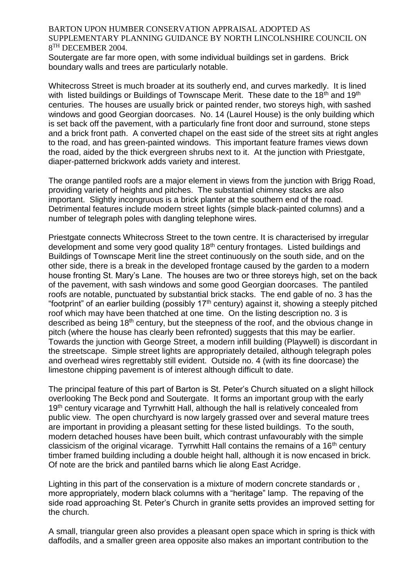Soutergate are far more open, with some individual buildings set in gardens. Brick boundary walls and trees are particularly notable.

Whitecross Street is much broader at its southerly end, and curves markedly. It is lined with listed buildings or Buildings of Townscape Merit. These date to the 18<sup>th</sup> and 19<sup>th</sup> centuries. The houses are usually brick or painted render, two storeys high, with sashed windows and good Georgian doorcases. No. 14 (Laurel House) is the only building which is set back off the pavement, with a particularly fine front door and surround, stone steps and a brick front path. A converted chapel on the east side of the street sits at right angles to the road, and has green-painted windows. This important feature frames views down the road, aided by the thick evergreen shrubs next to it. At the junction with Priestgate, diaper-patterned brickwork adds variety and interest.

The orange pantiled roofs are a major element in views from the junction with Brigg Road, providing variety of heights and pitches. The substantial chimney stacks are also important. Slightly incongruous is a brick planter at the southern end of the road. Detrimental features include modern street lights (simple black-painted columns) and a number of telegraph poles with dangling telephone wires.

Priestgate connects Whitecross Street to the town centre. It is characterised by irregular development and some very good quality  $18<sup>th</sup>$  century frontages. Listed buildings and Buildings of Townscape Merit line the street continuously on the south side, and on the other side, there is a break in the developed frontage caused by the garden to a modern house fronting St. Mary's Lane. The houses are two or three storeys high, set on the back of the pavement, with sash windows and some good Georgian doorcases. The pantiled roofs are notable, punctuated by substantial brick stacks. The end gable of no. 3 has the "footprint" of an earlier building (possibly  $17<sup>th</sup>$  century) against it, showing a steeply pitched roof which may have been thatched at one time. On the listing description no. 3 is described as being 18th century, but the steepness of the roof, and the obvious change in pitch (where the house has clearly been refronted) suggests that this may be earlier. Towards the junction with George Street, a modern infill building (Playwell) is discordant in the streetscape. Simple street lights are appropriately detailed, although telegraph poles and overhead wires regrettably still evident. Outside no. 4 (with its fine doorcase) the limestone chipping pavement is of interest although difficult to date.

The principal feature of this part of Barton is St. Peter's Church situated on a slight hillock overlooking The Beck pond and Soutergate. It forms an important group with the early 19<sup>th</sup> century vicarage and Tyrrwhitt Hall, although the hall is relatively concealed from public view. The open churchyard is now largely grassed over and several mature trees are important in providing a pleasant setting for these listed buildings. To the south, modern detached houses have been built, which contrast unfavourably with the simple classicism of the original vicarage. Tyrrwhitt Hall contains the remains of a 16th century timber framed building including a double height hall, although it is now encased in brick. Of note are the brick and pantiled barns which lie along East Acridge.

Lighting in this part of the conservation is a mixture of modern concrete standards or , more appropriately, modern black columns with a "heritage" lamp. The repaving of the side road approaching St. Peter's Church in granite setts provides an improved setting for the church.

A small, triangular green also provides a pleasant open space which in spring is thick with daffodils, and a smaller green area opposite also makes an important contribution to the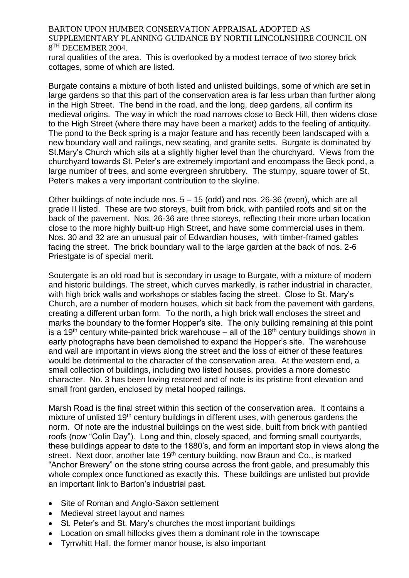rural qualities of the area. This is overlooked by a modest terrace of two storey brick cottages, some of which are listed.

Burgate contains a mixture of both listed and unlisted buildings, some of which are set in large gardens so that this part of the conservation area is far less urban than further along in the High Street. The bend in the road, and the long, deep gardens, all confirm its medieval origins. The way in which the road narrows close to Beck Hill, then widens close to the High Street (where there may have been a market) adds to the feeling of antiquity. The pond to the Beck spring is a major feature and has recently been landscaped with a new boundary wall and railings, new seating, and granite setts. Burgate is dominated by St.Mary's Church which sits at a slightly higher level than the churchyard. Views from the churchyard towards St. Peter's are extremely important and encompass the Beck pond, a large number of trees, and some evergreen shrubbery. The stumpy, square tower of St. Peter's makes a very important contribution to the skyline.

Other buildings of note include nos. 5 – 15 (odd) and nos. 26-36 (even), which are all grade II listed. These are two storeys, built from brick, with pantiled roofs and sit on the back of the pavement. Nos. 26-36 are three storeys, reflecting their more urban location close to the more highly built-up High Street, and have some commercial uses in them. Nos. 30 and 32 are an unusual pair of Edwardian houses, with timber-framed gables facing the street. The brick boundary wall to the large garden at the back of nos. 2-6 Priestgate is of special merit.

Soutergate is an old road but is secondary in usage to Burgate, with a mixture of modern and historic buildings. The street, which curves markedly, is rather industrial in character, with high brick walls and workshops or stables facing the street. Close to St. Mary's Church, are a number of modern houses, which sit back from the pavement with gardens, creating a different urban form. To the north, a high brick wall encloses the street and marks the boundary to the former Hopper's site. The only building remaining at this point is a 19<sup>th</sup> century white-painted brick warehouse – all of the 18<sup>th</sup> century buildings shown in early photographs have been demolished to expand the Hopper's site. The warehouse and wall are important in views along the street and the loss of either of these features would be detrimental to the character of the conservation area. At the western end, a small collection of buildings, including two listed houses, provides a more domestic character. No. 3 has been loving restored and of note is its pristine front elevation and small front garden, enclosed by metal hooped railings.

Marsh Road is the final street within this section of the conservation area. It contains a mixture of unlisted 19<sup>th</sup> century buildings in different uses, with generous gardens the norm. Of note are the industrial buildings on the west side, built from brick with pantiled roofs (now "Colin Day"). Long and thin, closely spaced, and forming small courtyards, these buildings appear to date to the 1880's, and form an important stop in views along the street. Next door, another late 19<sup>th</sup> century building, now Braun and Co., is marked "Anchor Brewery" on the stone string course across the front gable, and presumably this whole complex once functioned as exactly this. These buildings are unlisted but provide an important link to Barton's industrial past.

- Site of Roman and Anglo-Saxon settlement
- Medieval street layout and names
- St. Peter's and St. Mary's churches the most important buildings
- Location on small hillocks gives them a dominant role in the townscape
- Tyrrwhitt Hall, the former manor house, is also important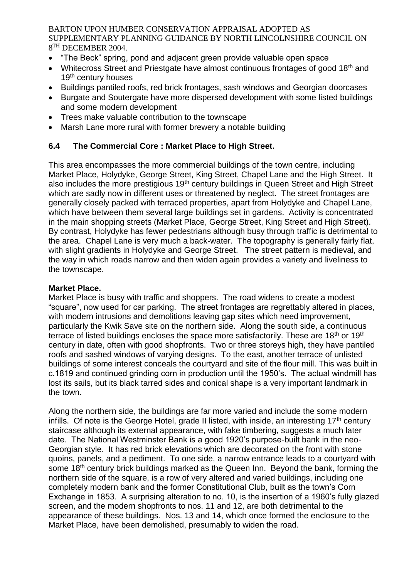- "The Beck" spring, pond and adjacent green provide valuable open space
- Whitecross Street and Priestgate have almost continuous frontages of good 18<sup>th</sup> and 19<sup>th</sup> century houses
- Buildings pantiled roofs, red brick frontages, sash windows and Georgian doorcases
- Burgate and Soutergate have more dispersed development with some listed buildings and some modern development
- Trees make valuable contribution to the townscape
- Marsh Lane more rural with former brewery a notable building

## **6.4 The Commercial Core : Market Place to High Street.**

This area encompasses the more commercial buildings of the town centre, including Market Place, Holydyke, George Street, King Street, Chapel Lane and the High Street. It also includes the more prestigious 19<sup>th</sup> century buildings in Queen Street and High Street which are sadly now in different uses or threatened by neglect. The street frontages are generally closely packed with terraced properties, apart from Holydyke and Chapel Lane, which have between them several large buildings set in gardens. Activity is concentrated in the main shopping streets (Market Place, George Street, King Street and High Street). By contrast, Holydyke has fewer pedestrians although busy through traffic is detrimental to the area. Chapel Lane is very much a back-water. The topography is generally fairly flat, with slight gradients in Holydyke and George Street. The street pattern is medieval, and the way in which roads narrow and then widen again provides a variety and liveliness to the townscape.

#### **Market Place.**

Market Place is busy with traffic and shoppers. The road widens to create a modest "square", now used for car parking. The street frontages are regrettably altered in places, with modern intrusions and demolitions leaving gap sites which need improvement, particularly the Kwik Save site on the northern side. Along the south side, a continuous terrace of listed buildings encloses the space more satisfactorily. These are  $18<sup>th</sup>$  or  $19<sup>th</sup>$ century in date, often with good shopfronts. Two or three storeys high, they have pantiled roofs and sashed windows of varying designs. To the east, another terrace of unlisted buildings of some interest conceals the courtyard and site of the flour mill. This was built in c.1819 and continued grinding corn in production until the 1950's. The actual windmill has lost its sails, but its black tarred sides and conical shape is a very important landmark in the town.

Along the northern side, the buildings are far more varied and include the some modern infills. Of note is the George Hotel, grade II listed, with inside, an interesting  $17<sup>th</sup>$  century staircase although its external appearance, with fake timbering, suggests a much later date. The National Westminster Bank is a good 1920's purpose-built bank in the neo-Georgian style. It has red brick elevations which are decorated on the front with stone quoins, panels, and a pediment. To one side, a narrow entrance leads to a courtyard with some 18<sup>th</sup> century brick buildings marked as the Queen Inn. Beyond the bank, forming the northern side of the square, is a row of very altered and varied buildings, including one completely modern bank and the former Constitutional Club, built as the town's Corn Exchange in 1853. A surprising alteration to no. 10, is the insertion of a 1960's fully glazed screen, and the modern shopfronts to nos. 11 and 12, are both detrimental to the appearance of these buildings. Nos. 13 and 14, which once formed the enclosure to the Market Place, have been demolished, presumably to widen the road.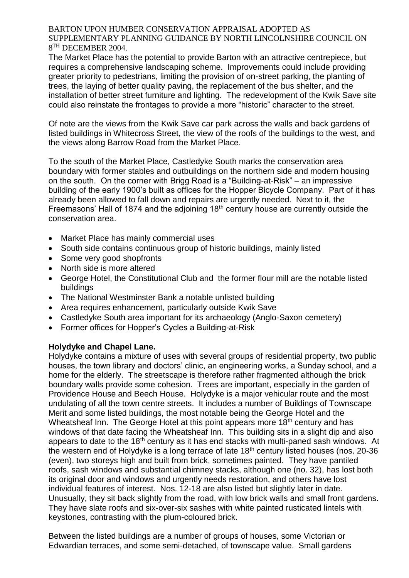The Market Place has the potential to provide Barton with an attractive centrepiece, but requires a comprehensive landscaping scheme. Improvements could include providing greater priority to pedestrians, limiting the provision of on-street parking, the planting of trees, the laying of better quality paving, the replacement of the bus shelter, and the installation of better street furniture and lighting. The redevelopment of the Kwik Save site could also reinstate the frontages to provide a more "historic" character to the street.

Of note are the views from the Kwik Save car park across the walls and back gardens of listed buildings in Whitecross Street, the view of the roofs of the buildings to the west, and the views along Barrow Road from the Market Place.

To the south of the Market Place, Castledyke South marks the conservation area boundary with former stables and outbuildings on the northern side and modern housing on the south. On the corner with Brigg Road is a "Building-at-Risk" – an impressive building of the early 1900's built as offices for the Hopper Bicycle Company. Part of it has already been allowed to fall down and repairs are urgently needed. Next to it, the Freemasons' Hall of 1874 and the adjoining 18th century house are currently outside the conservation area.

- Market Place has mainly commercial uses
- South side contains continuous group of historic buildings, mainly listed
- Some very good shopfronts
- North side is more altered
- George Hotel, the Constitutional Club and the former flour mill are the notable listed buildings
- The National Westminster Bank a notable unlisted building
- Area requires enhancement, particularly outside Kwik Save
- Castledyke South area important for its archaeology (Anglo-Saxon cemetery)
- Former offices for Hopper's Cycles a Building-at-Risk

## **Holydyke and Chapel Lane.**

Holydyke contains a mixture of uses with several groups of residential property, two public houses, the town library and doctors' clinic, an engineering works, a Sunday school, and a home for the elderly. The streetscape is therefore rather fragmented although the brick boundary walls provide some cohesion. Trees are important, especially in the garden of Providence House and Beech House. Holydyke is a major vehicular route and the most undulating of all the town centre streets. It includes a number of Buildings of Townscape Merit and some listed buildings, the most notable being the George Hotel and the Wheatsheaf Inn. The George Hotel at this point appears more 18<sup>th</sup> century and has windows of that date facing the Wheatsheaf Inn. This building sits in a slight dip and also appears to date to the 18th century as it has end stacks with multi-paned sash windows. At the western end of Holydyke is a long terrace of late  $18<sup>th</sup>$  century listed houses (nos. 20-36) (even), two storeys high and built from brick, sometimes painted. They have pantiled roofs, sash windows and substantial chimney stacks, although one (no. 32), has lost both its original door and windows and urgently needs restoration, and others have lost individual features of interest. Nos. 12-18 are also listed but slightly later in date. Unusually, they sit back slightly from the road, with low brick walls and small front gardens. They have slate roofs and six-over-six sashes with white painted rusticated lintels with keystones, contrasting with the plum-coloured brick.

Between the listed buildings are a number of groups of houses, some Victorian or Edwardian terraces, and some semi-detached, of townscape value. Small gardens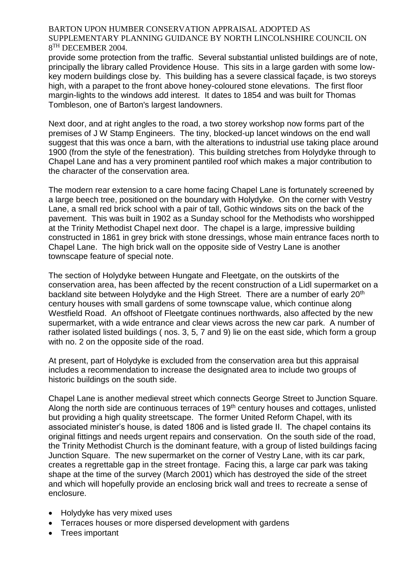provide some protection from the traffic. Several substantial unlisted buildings are of note, principally the library called Providence House. This sits in a large garden with some lowkey modern buildings close by. This building has a severe classical façade, is two storeys high, with a parapet to the front above honey-coloured stone elevations. The first floor margin-lights to the windows add interest. It dates to 1854 and was built for Thomas Tombleson, one of Barton's largest landowners.

Next door, and at right angles to the road, a two storey workshop now forms part of the premises of J W Stamp Engineers. The tiny, blocked-up lancet windows on the end wall suggest that this was once a barn, with the alterations to industrial use taking place around 1900 (from the style of the fenestration). This building stretches from Holydyke through to Chapel Lane and has a very prominent pantiled roof which makes a major contribution to the character of the conservation area.

The modern rear extension to a care home facing Chapel Lane is fortunately screened by a large beech tree, positioned on the boundary with Holydyke. On the corner with Vestry Lane, a small red brick school with a pair of tall, Gothic windows sits on the back of the pavement. This was built in 1902 as a Sunday school for the Methodists who worshipped at the Trinity Methodist Chapel next door. The chapel is a large, impressive building constructed in 1861 in grey brick with stone dressings, whose main entrance faces north to Chapel Lane. The high brick wall on the opposite side of Vestry Lane is another townscape feature of special note.

The section of Holydyke between Hungate and Fleetgate, on the outskirts of the conservation area, has been affected by the recent construction of a Lidl supermarket on a backland site between Holydyke and the High Street. There are a number of early 20<sup>th</sup> century houses with small gardens of some townscape value, which continue along Westfield Road. An offshoot of Fleetgate continues northwards, also affected by the new supermarket, with a wide entrance and clear views across the new car park. A number of rather isolated listed buildings ( nos. 3, 5, 7 and 9) lie on the east side, which form a group with no. 2 on the opposite side of the road.

At present, part of Holydyke is excluded from the conservation area but this appraisal includes a recommendation to increase the designated area to include two groups of historic buildings on the south side.

Chapel Lane is another medieval street which connects George Street to Junction Square. Along the north side are continuous terraces of 19<sup>th</sup> century houses and cottages, unlisted but providing a high quality streetscape. The former United Reform Chapel, with its associated minister's house, is dated 1806 and is listed grade II. The chapel contains its original fittings and needs urgent repairs and conservation. On the south side of the road, the Trinity Methodist Church is the dominant feature, with a group of listed buildings facing Junction Square. The new supermarket on the corner of Vestry Lane, with its car park, creates a regrettable gap in the street frontage. Facing this, a large car park was taking shape at the time of the survey (March 2001) which has destroyed the side of the street and which will hopefully provide an enclosing brick wall and trees to recreate a sense of enclosure.

- Holydyke has very mixed uses
- Terraces houses or more dispersed development with gardens
- Trees important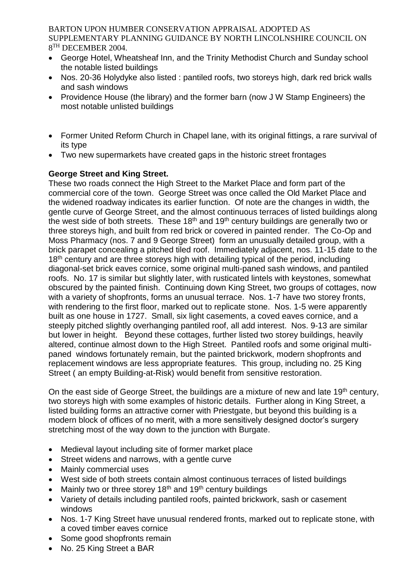- George Hotel, Wheatsheaf Inn, and the Trinity Methodist Church and Sunday school the notable listed buildings
- Nos. 20-36 Holydyke also listed : pantiled roofs, two storeys high, dark red brick walls and sash windows
- Providence House (the library) and the former barn (now J W Stamp Engineers) the most notable unlisted buildings
- Former United Reform Church in Chapel lane, with its original fittings, a rare survival of its type
- Two new supermarkets have created gaps in the historic street frontages

## **George Street and King Street.**

These two roads connect the High Street to the Market Place and form part of the commercial core of the town. George Street was once called the Old Market Place and the widened roadway indicates its earlier function. Of note are the changes in width, the gentle curve of George Street, and the almost continuous terraces of listed buildings along the west side of both streets. These  $18<sup>th</sup>$  and  $19<sup>th</sup>$  century buildings are generally two or three storeys high, and built from red brick or covered in painted render. The Co-Op and Moss Pharmacy (nos. 7 and 9 George Street) form an unusually detailed group, with a brick parapet concealing a pitched tiled roof. Immediately adjacent, nos. 11-15 date to the 18<sup>th</sup> century and are three storeys high with detailing typical of the period, including diagonal-set brick eaves cornice, some original multi-paned sash windows, and pantiled roofs. No. 17 is similar but slightly later, with rusticated lintels with keystones, somewhat obscured by the painted finish. Continuing down King Street, two groups of cottages, now with a variety of shopfronts, forms an unusual terrace. Nos. 1-7 have two storey fronts, with rendering to the first floor, marked out to replicate stone. Nos. 1-5 were apparently built as one house in 1727. Small, six light casements, a coved eaves cornice, and a steeply pitched slightly overhanging pantiled roof, all add interest. Nos. 9-13 are similar but lower in height. Beyond these cottages, further listed two storey buildings, heavily altered, continue almost down to the High Street. Pantiled roofs and some original multipaned windows fortunately remain, but the painted brickwork, modern shopfronts and replacement windows are less appropriate features. This group, including no. 25 King Street ( an empty Building-at-Risk) would benefit from sensitive restoration.

On the east side of George Street, the buildings are a mixture of new and late 19<sup>th</sup> century, two storeys high with some examples of historic details. Further along in King Street, a listed building forms an attractive corner with Priestgate, but beyond this building is a modern block of offices of no merit, with a more sensitively designed doctor's surgery stretching most of the way down to the junction with Burgate.

- Medieval layout including site of former market place
- Street widens and narrows, with a gentle curve
- Mainly commercial uses
- West side of both streets contain almost continuous terraces of listed buildings
- Mainly two or three storey 18<sup>th</sup> and 19<sup>th</sup> century buildings
- Variety of details including pantiled roofs, painted brickwork, sash or casement windows
- Nos. 1-7 King Street have unusual rendered fronts, marked out to replicate stone, with a coved timber eaves cornice
- Some good shopfronts remain
- No. 25 King Street a BAR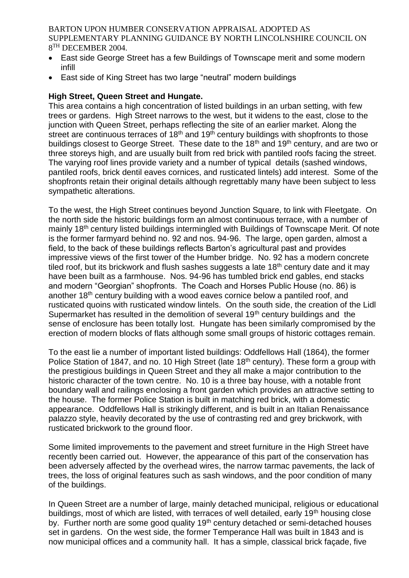- East side George Street has a few Buildings of Townscape merit and some modern infill
- East side of King Street has two large "neutral" modern buildings

#### **High Street, Queen Street and Hungate.**

This area contains a high concentration of listed buildings in an urban setting, with few trees or gardens. High Street narrows to the west, but it widens to the east, close to the junction with Queen Street, perhaps reflecting the site of an earlier market. Along the street are continuous terraces of  $18<sup>th</sup>$  and  $19<sup>th</sup>$  century buildings with shopfronts to those buildings closest to George Street. These date to the 18<sup>th</sup> and 19<sup>th</sup> century, and are two or three storeys high, and are usually built from red brick with pantiled roofs facing the street. The varying roof lines provide variety and a number of typical details (sashed windows, pantiled roofs, brick dentil eaves cornices, and rusticated lintels) add interest. Some of the shopfronts retain their original details although regrettably many have been subject to less sympathetic alterations.

To the west, the High Street continues beyond Junction Square, to link with Fleetgate. On the north side the historic buildings form an almost continuous terrace, with a number of mainly 18<sup>th</sup> century listed buildings intermingled with Buildings of Townscape Merit. Of note is the former farmyard behind no. 92 and nos. 94-96. The large, open garden, almost a field, to the back of these buildings reflects Barton's agricultural past and provides impressive views of the first tower of the Humber bridge. No. 92 has a modern concrete tiled roof, but its brickwork and flush sashes suggests a late  $18<sup>th</sup>$  century date and it may have been built as a farmhouse. Nos. 94-96 has tumbled brick end gables, end stacks and modern "Georgian" shopfronts. The Coach and Horses Public House (no. 86) is another 18th century building with a wood eaves cornice below a pantiled roof, and rusticated quoins with rusticated window lintels. On the south side, the creation of the Lidl Supermarket has resulted in the demolition of several 19<sup>th</sup> century buildings and the sense of enclosure has been totally lost. Hungate has been similarly compromised by the erection of modern blocks of flats although some small groups of historic cottages remain.

To the east lie a number of important listed buildings: Oddfellows Hall (1864), the former Police Station of 1847, and no. 10 High Street (late 18<sup>th</sup> century). These form a group with the prestigious buildings in Queen Street and they all make a major contribution to the historic character of the town centre. No. 10 is a three bay house, with a notable front boundary wall and railings enclosing a front garden which provides an attractive setting to the house. The former Police Station is built in matching red brick, with a domestic appearance. Oddfellows Hall is strikingly different, and is built in an Italian Renaissance palazzo style, heavily decorated by the use of contrasting red and grey brickwork, with rusticated brickwork to the ground floor.

Some limited improvements to the pavement and street furniture in the High Street have recently been carried out. However, the appearance of this part of the conservation has been adversely affected by the overhead wires, the narrow tarmac pavements, the lack of trees, the loss of original features such as sash windows, and the poor condition of many of the buildings.

In Queen Street are a number of large, mainly detached municipal, religious or educational buildings, most of which are listed, with terraces of well detailed, early 19<sup>th</sup> housing close by. Further north are some good quality 19<sup>th</sup> century detached or semi-detached houses set in gardens. On the west side, the former Temperance Hall was built in 1843 and is now municipal offices and a community hall. It has a simple, classical brick façade, five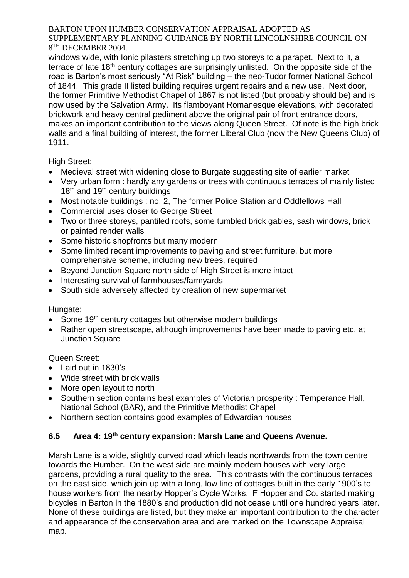windows wide, with Ionic pilasters stretching up two storeys to a parapet. Next to it, a terrace of late 18th century cottages are surprisingly unlisted. On the opposite side of the road is Barton's most seriously "At Risk" building – the neo-Tudor former National School of 1844. This grade II listed building requires urgent repairs and a new use. Next door, the former Primitive Methodist Chapel of 1867 is not listed (but probably should be) and is now used by the Salvation Army. Its flamboyant Romanesque elevations, with decorated brickwork and heavy central pediment above the original pair of front entrance doors, makes an important contribution to the views along Queen Street. Of note is the high brick walls and a final building of interest, the former Liberal Club (now the New Queens Club) of 1911.

High Street:

- Medieval street with widening close to Burgate suggesting site of earlier market
- Very urban form : hardly any gardens or trees with continuous terraces of mainly listed  $18<sup>th</sup>$  and  $19<sup>th</sup>$  century buildings
- Most notable buildings : no. 2, The former Police Station and Oddfellows Hall
- Commercial uses closer to George Street
- Two or three storeys, pantiled roofs, some tumbled brick gables, sash windows, brick or painted render walls
- Some historic shopfronts but many modern
- Some limited recent improvements to paving and street furniture, but more comprehensive scheme, including new trees, required
- Beyond Junction Square north side of High Street is more intact
- Interesting survival of farmhouses/farmyards
- South side adversely affected by creation of new supermarket

## Hungate:

- Some 19<sup>th</sup> century cottages but otherwise modern buildings
- Rather open streetscape, although improvements have been made to paving etc. at Junction Square

## Queen Street:

- Laid out in 1830's
- Wide street with brick walls
- More open layout to north
- Southern section contains best examples of Victorian prosperity : Temperance Hall, National School (BAR), and the Primitive Methodist Chapel
- Northern section contains good examples of Edwardian houses

# **6.5 Area 4: 19th century expansion: Marsh Lane and Queens Avenue.**

Marsh Lane is a wide, slightly curved road which leads northwards from the town centre towards the Humber. On the west side are mainly modern houses with very large gardens, providing a rural quality to the area. This contrasts with the continuous terraces on the east side, which join up with a long, low line of cottages built in the early 1900's to house workers from the nearby Hopper's Cycle Works. F Hopper and Co. started making bicycles in Barton in the 1880's and production did not cease until one hundred years later. None of these buildings are listed, but they make an important contribution to the character and appearance of the conservation area and are marked on the Townscape Appraisal map.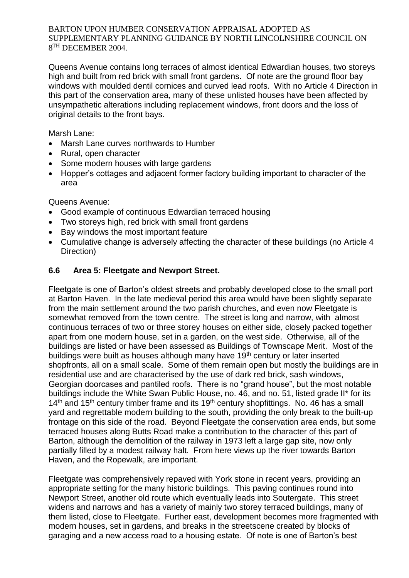Queens Avenue contains long terraces of almost identical Edwardian houses, two storeys high and built from red brick with small front gardens. Of note are the ground floor bay windows with moulded dentil cornices and curved lead roofs. With no Article 4 Direction in this part of the conservation area, many of these unlisted houses have been affected by unsympathetic alterations including replacement windows, front doors and the loss of original details to the front bays.

Marsh Lane:

- Marsh Lane curves northwards to Humber
- Rural, open character
- Some modern houses with large gardens
- Hopper's cottages and adjacent former factory building important to character of the area

Queens Avenue:

- Good example of continuous Edwardian terraced housing
- Two storeys high, red brick with small front gardens
- Bay windows the most important feature
- Cumulative change is adversely affecting the character of these buildings (no Article 4 Direction)

# **6.6 Area 5: Fleetgate and Newport Street.**

Fleetgate is one of Barton's oldest streets and probably developed close to the small port at Barton Haven. In the late medieval period this area would have been slightly separate from the main settlement around the two parish churches, and even now Fleetgate is somewhat removed from the town centre. The street is long and narrow, with almost continuous terraces of two or three storey houses on either side, closely packed together apart from one modern house, set in a garden, on the west side. Otherwise, all of the buildings are listed or have been assessed as Buildings of Townscape Merit. Most of the buildings were built as houses although many have 19<sup>th</sup> century or later inserted shopfronts, all on a small scale. Some of them remain open but mostly the buildings are in residential use and are characterised by the use of dark red brick, sash windows, Georgian doorcases and pantiled roofs. There is no "grand house", but the most notable buildings include the White Swan Public House, no. 46, and no. 51, listed grade II\* for its  $14<sup>th</sup>$  and  $15<sup>th</sup>$  century timber frame and its  $19<sup>th</sup>$  century shopfittings. No. 46 has a small yard and regrettable modern building to the south, providing the only break to the built-up frontage on this side of the road. Beyond Fleetgate the conservation area ends, but some terraced houses along Butts Road make a contribution to the character of this part of Barton, although the demolition of the railway in 1973 left a large gap site, now only partially filled by a modest railway halt. From here views up the river towards Barton Haven, and the Ropewalk, are important.

Fleetgate was comprehensively repaved with York stone in recent years, providing an appropriate setting for the many historic buildings. This paving continues round into Newport Street, another old route which eventually leads into Soutergate. This street widens and narrows and has a variety of mainly two storey terraced buildings, many of them listed, close to Fleetgate. Further east, development becomes more fragmented with modern houses, set in gardens, and breaks in the streetscene created by blocks of garaging and a new access road to a housing estate. Of note is one of Barton's best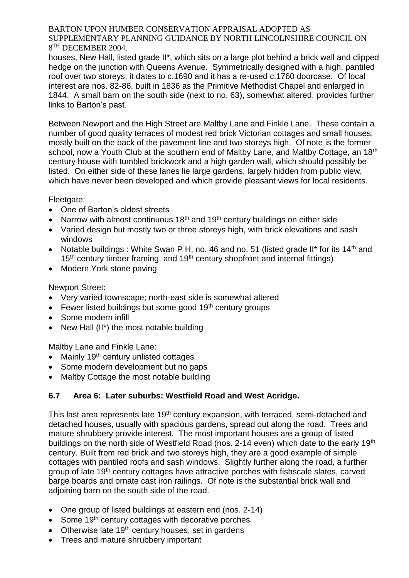houses, New Hall, listed grade II\*, which sits on a large plot behind a brick wall and clipped hedge on the junction with Queens Avenue. Symmetrically designed with a high, pantiled roof over two storeys, it dates to c.1690 and it has a re-used c.1760 doorcase. Of local interest are nos. 82-86, built in 1836 as the Primitive Methodist Chapel and enlarged in 1844. A small barn on the south side (next to no. 63), somewhat altered, provides further links to Barton's past.

Between Newport and the High Street are Maltby Lane and Finkle Lane. These contain a number of good quality terraces of modest red brick Victorian cottages and small houses, mostly built on the back of the pavement line and two storeys high. Of note is the former school, now a Youth Club at the southern end of Maltby Lane, and Maltby Cottage, an 18<sup>th</sup> century house with tumbled brickwork and a high garden wall, which should possibly be listed. On either side of these lanes lie large gardens, largely hidden from public view, which have never been developed and which provide pleasant views for local residents.

Fleetgate:

- One of Barton's oldest streets
- Narrow with almost continuous  $18<sup>th</sup>$  and  $19<sup>th</sup>$  century buildings on either side
- Varied design but mostly two or three storeys high, with brick elevations and sash windows
- Notable buildings : White Swan P H, no. 46 and no. 51 (listed grade II\* for its 14<sup>th</sup> and 15<sup>th</sup> century timber framing, and 19<sup>th</sup> century shopfront and internal fittings)
- Modern York stone paving

Newport Street:

- Very varied townscape; north-east side is somewhat altered
- **Fewer listed buildings but some good 19th century groups**
- Some modern infill
- New Hall (II\*) the most notable building

Maltby Lane and Finkle Lane:

- Mainly 19<sup>th</sup> century unlisted cottages
- Some modern development but no gaps
- Maltby Cottage the most notable building

## **6.7 Area 6: Later suburbs: Westfield Road and West Acridge.**

This last area represents late 19<sup>th</sup> century expansion, with terraced, semi-detached and detached houses, usually with spacious gardens, spread out along the road. Trees and mature shrubbery provide interest. The most important houses are a group of listed buildings on the north side of Westfield Road (nos. 2-14 even) which date to the early 19<sup>th</sup> century. Built from red brick and two storeys high, they are a good example of simple cottages with pantiled roofs and sash windows. Slightly further along the road, a further group of late 19th century cottages have attractive porches with fishscale slates, carved barge boards and ornate cast iron railings. Of note is the substantial brick wall and adjoining barn on the south side of the road.

- One group of listed buildings at eastern end (nos. 2-14)
- $\bullet$  Some 19<sup>th</sup> century cottages with decorative porches
- $\bullet$  Otherwise late 19<sup>th</sup> century houses, set in gardens
- Trees and mature shrubbery important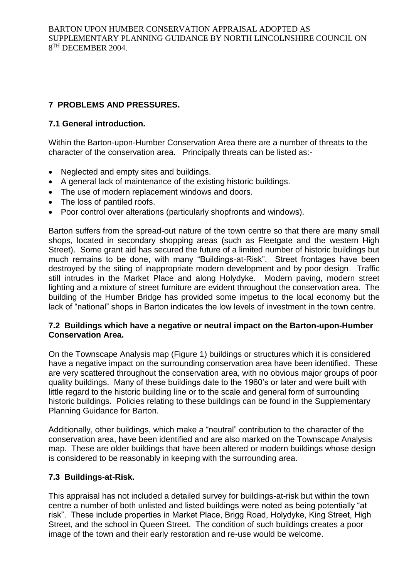# **7 PROBLEMS AND PRESSURES.**

## **7.1 General introduction.**

Within the Barton-upon-Humber Conservation Area there are a number of threats to the character of the conservation area. Principally threats can be listed as:-

- Neglected and empty sites and buildings.
- A general lack of maintenance of the existing historic buildings.
- The use of modern replacement windows and doors.
- The loss of pantiled roofs.
- Poor control over alterations (particularly shopfronts and windows).

Barton suffers from the spread-out nature of the town centre so that there are many small shops, located in secondary shopping areas (such as Fleetgate and the western High Street). Some grant aid has secured the future of a limited number of historic buildings but much remains to be done, with many "Buildings-at-Risk". Street frontages have been destroyed by the siting of inappropriate modern development and by poor design. Traffic still intrudes in the Market Place and along Holydyke. Modern paving, modern street lighting and a mixture of street furniture are evident throughout the conservation area. The building of the Humber Bridge has provided some impetus to the local economy but the lack of "national" shops in Barton indicates the low levels of investment in the town centre.

#### **7.2 Buildings which have a negative or neutral impact on the Barton-upon-Humber Conservation Area.**

On the Townscape Analysis map (Figure 1) buildings or structures which it is considered have a negative impact on the surrounding conservation area have been identified. These are very scattered throughout the conservation area, with no obvious major groups of poor quality buildings. Many of these buildings date to the 1960's or later and were built with little regard to the historic building line or to the scale and general form of surrounding historic buildings. Policies relating to these buildings can be found in the Supplementary Planning Guidance for Barton.

Additionally, other buildings, which make a "neutral" contribution to the character of the conservation area, have been identified and are also marked on the Townscape Analysis map. These are older buildings that have been altered or modern buildings whose design is considered to be reasonably in keeping with the surrounding area.

## **7.3 Buildings-at-Risk.**

This appraisal has not included a detailed survey for buildings-at-risk but within the town centre a number of both unlisted and listed buildings were noted as being potentially "at risk". These include properties in Market Place, Brigg Road, Holydyke, King Street, High Street, and the school in Queen Street. The condition of such buildings creates a poor image of the town and their early restoration and re-use would be welcome.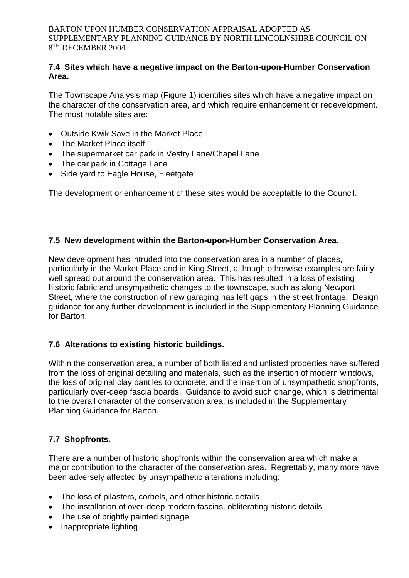#### **7.4 Sites which have a negative impact on the Barton-upon-Humber Conservation Area.**

The Townscape Analysis map (Figure 1) identifies sites which have a negative impact on the character of the conservation area, and which require enhancement or redevelopment. The most notable sites are:

- Outside Kwik Save in the Market Place
- The Market Place itself
- The supermarket car park in Vestry Lane/Chapel Lane
- The car park in Cottage Lane
- Side yard to Eagle House, Fleetgate

The development or enhancement of these sites would be acceptable to the Council.

## **7.5 New development within the Barton-upon-Humber Conservation Area.**

New development has intruded into the conservation area in a number of places, particularly in the Market Place and in King Street, although otherwise examples are fairly well spread out around the conservation area. This has resulted in a loss of existing historic fabric and unsympathetic changes to the townscape, such as along Newport Street, where the construction of new garaging has left gaps in the street frontage. Design guidance for any further development is included in the Supplementary Planning Guidance for Barton.

## **7.6 Alterations to existing historic buildings.**

Within the conservation area, a number of both listed and unlisted properties have suffered from the loss of original detailing and materials, such as the insertion of modern windows, the loss of original clay pantiles to concrete, and the insertion of unsympathetic shopfronts, particularly over-deep fascia boards. Guidance to avoid such change, which is detrimental to the overall character of the conservation area, is included in the Supplementary Planning Guidance for Barton.

## **7.7 Shopfronts.**

There are a number of historic shopfronts within the conservation area which make a major contribution to the character of the conservation area. Regrettably, many more have been adversely affected by unsympathetic alterations including:

- The loss of pilasters, corbels, and other historic details
- The installation of over-deep modern fascias, obliterating historic details
- The use of brightly painted signage
- Inappropriate lighting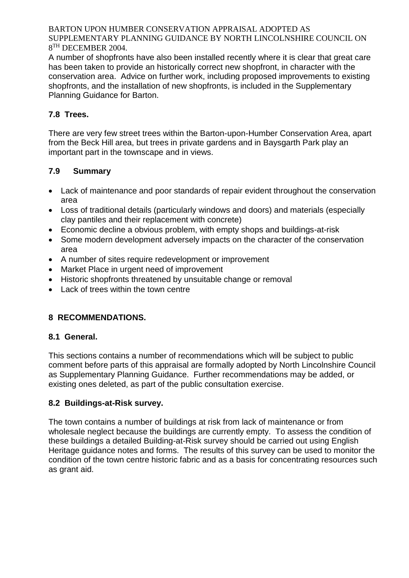A number of shopfronts have also been installed recently where it is clear that great care has been taken to provide an historically correct new shopfront, in character with the conservation area. Advice on further work, including proposed improvements to existing shopfronts, and the installation of new shopfronts, is included in the Supplementary Planning Guidance for Barton.

# **7.8 Trees.**

There are very few street trees within the Barton-upon-Humber Conservation Area, apart from the Beck Hill area, but trees in private gardens and in Baysgarth Park play an important part in the townscape and in views.

# **7.9 Summary**

- Lack of maintenance and poor standards of repair evident throughout the conservation area
- Loss of traditional details (particularly windows and doors) and materials (especially clay pantiles and their replacement with concrete)
- Economic decline a obvious problem, with empty shops and buildings-at-risk
- Some modern development adversely impacts on the character of the conservation area
- A number of sites require redevelopment or improvement
- Market Place in urgent need of improvement
- Historic shopfronts threatened by unsuitable change or removal
- Lack of trees within the town centre

# **8 RECOMMENDATIONS.**

# **8.1 General.**

This sections contains a number of recommendations which will be subject to public comment before parts of this appraisal are formally adopted by North Lincolnshire Council as Supplementary Planning Guidance. Further recommendations may be added, or existing ones deleted, as part of the public consultation exercise.

# **8.2 Buildings-at-Risk survey.**

The town contains a number of buildings at risk from lack of maintenance or from wholesale neglect because the buildings are currently empty. To assess the condition of these buildings a detailed Building-at-Risk survey should be carried out using English Heritage guidance notes and forms. The results of this survey can be used to monitor the condition of the town centre historic fabric and as a basis for concentrating resources such as grant aid.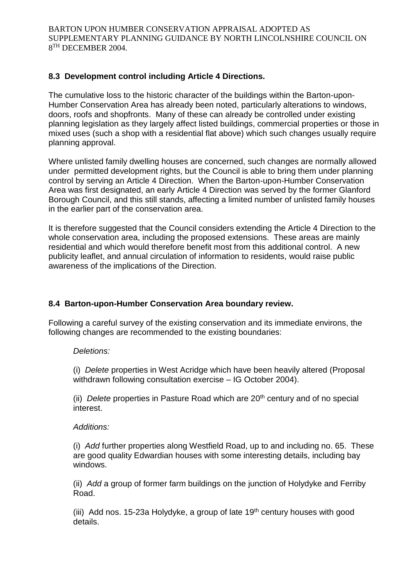## **8.3 Development control including Article 4 Directions.**

The cumulative loss to the historic character of the buildings within the Barton-upon-Humber Conservation Area has already been noted, particularly alterations to windows, doors, roofs and shopfronts. Many of these can already be controlled under existing planning legislation as they largely affect listed buildings, commercial properties or those in mixed uses (such a shop with a residential flat above) which such changes usually require planning approval.

Where unlisted family dwelling houses are concerned, such changes are normally allowed under permitted development rights, but the Council is able to bring them under planning control by serving an Article 4 Direction. When the Barton-upon-Humber Conservation Area was first designated, an early Article 4 Direction was served by the former Glanford Borough Council, and this still stands, affecting a limited number of unlisted family houses in the earlier part of the conservation area.

It is therefore suggested that the Council considers extending the Article 4 Direction to the whole conservation area, including the proposed extensions. These areas are mainly residential and which would therefore benefit most from this additional control. A new publicity leaflet, and annual circulation of information to residents, would raise public awareness of the implications of the Direction.

## **8.4 Barton-upon-Humber Conservation Area boundary review.**

Following a careful survey of the existing conservation and its immediate environs, the following changes are recommended to the existing boundaries:

#### *Deletions:*

(i) *Delete* properties in West Acridge which have been heavily altered (Proposal withdrawn following consultation exercise – IG October 2004).

(ii) *Delete* properties in Pasture Road which are 20<sup>th</sup> century and of no special interest.

#### *Additions:*

(i) *Add* further properties along Westfield Road, up to and including no. 65. These are good quality Edwardian houses with some interesting details, including bay windows.

(ii) *Add* a group of former farm buildings on the junction of Holydyke and Ferriby Road.

(iii) Add nos. 15-23a Holydyke, a group of late  $19<sup>th</sup>$  century houses with good details.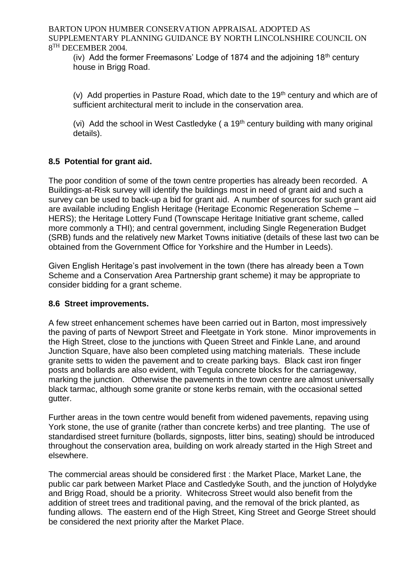(iv) Add the former Freemasons' Lodge of 1874 and the adjoining  $18<sup>th</sup>$  century house in Brigg Road.

(v) Add properties in Pasture Road, which date to the  $19<sup>th</sup>$  century and which are of sufficient architectural merit to include in the conservation area.

(vi) Add the school in West Castledyke  $($  a 19<sup>th</sup> century building with many original details).

# **8.5 Potential for grant aid.**

The poor condition of some of the town centre properties has already been recorded. A Buildings-at-Risk survey will identify the buildings most in need of grant aid and such a survey can be used to back-up a bid for grant aid. A number of sources for such grant aid are available including English Heritage (Heritage Economic Regeneration Scheme – HERS); the Heritage Lottery Fund (Townscape Heritage Initiative grant scheme, called more commonly a THI); and central government, including Single Regeneration Budget (SRB) funds and the relatively new Market Towns initiative (details of these last two can be obtained from the Government Office for Yorkshire and the Humber in Leeds).

Given English Heritage's past involvement in the town (there has already been a Town Scheme and a Conservation Area Partnership grant scheme) it may be appropriate to consider bidding for a grant scheme.

## **8.6 Street improvements.**

A few street enhancement schemes have been carried out in Barton, most impressively the paving of parts of Newport Street and Fleetgate in York stone. Minor improvements in the High Street, close to the junctions with Queen Street and Finkle Lane, and around Junction Square, have also been completed using matching materials. These include granite setts to widen the pavement and to create parking bays. Black cast iron finger posts and bollards are also evident, with Tegula concrete blocks for the carriageway, marking the junction. Otherwise the pavements in the town centre are almost universally black tarmac, although some granite or stone kerbs remain, with the occasional setted gutter.

Further areas in the town centre would benefit from widened pavements, repaving using York stone, the use of granite (rather than concrete kerbs) and tree planting. The use of standardised street furniture (bollards, signposts, litter bins, seating) should be introduced throughout the conservation area, building on work already started in the High Street and elsewhere.

The commercial areas should be considered first : the Market Place, Market Lane, the public car park between Market Place and Castledyke South, and the junction of Holydyke and Brigg Road, should be a priority. Whitecross Street would also benefit from the addition of street trees and traditional paving, and the removal of the brick planted, as funding allows. The eastern end of the High Street, King Street and George Street should be considered the next priority after the Market Place.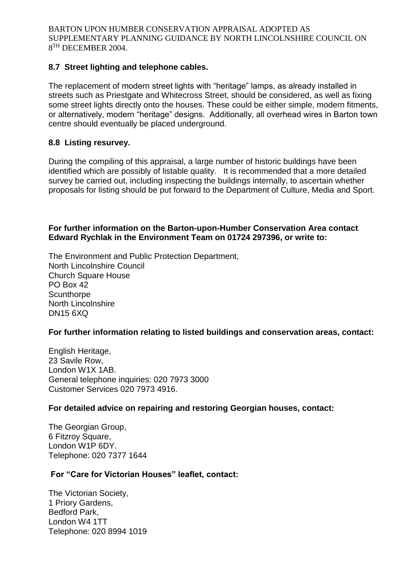## **8.7 Street lighting and telephone cables.**

The replacement of modern street lights with "heritage" lamps, as already installed in streets such as Priestgate and Whitecross Street, should be considered, as well as fixing some street lights directly onto the houses. These could be either simple, modern fitments, or alternatively, modern "heritage" designs. Additionally, all overhead wires in Barton town centre should eventually be placed underground.

#### **8.8 Listing resurvey.**

During the compiling of this appraisal, a large number of historic buildings have been identified which are possibly of listable quality. It is recommended that a more detailed survey be carried out, including inspecting the buildings internally, to ascertain whether proposals for listing should be put forward to the Department of Culture, Media and Sport.

#### **For further information on the Barton-upon-Humber Conservation Area contact Edward Rychlak in the Environment Team on 01724 297396, or write to:**

The Environment and Public Protection Department, North Lincolnshire Council Church Square House PO Box 42 **Scunthorpe** North Lincolnshire DN15 6XQ

#### **For further information relating to listed buildings and conservation areas, contact:**

English Heritage, 23 Savile Row, London W1X 1AB. General telephone inquiries: 020 7973 3000 Customer Services 020 7973 4916.

#### **For detailed advice on repairing and restoring Georgian houses, contact:**

The Georgian Group, 6 Fitzroy Square, London W1P 6DY. Telephone: 020 7377 1644

#### **For "Care for Victorian Houses" leaflet, contact:**

The Victorian Society, 1 Priory Gardens, Bedford Park, London W4 1TT Telephone: 020 8994 1019